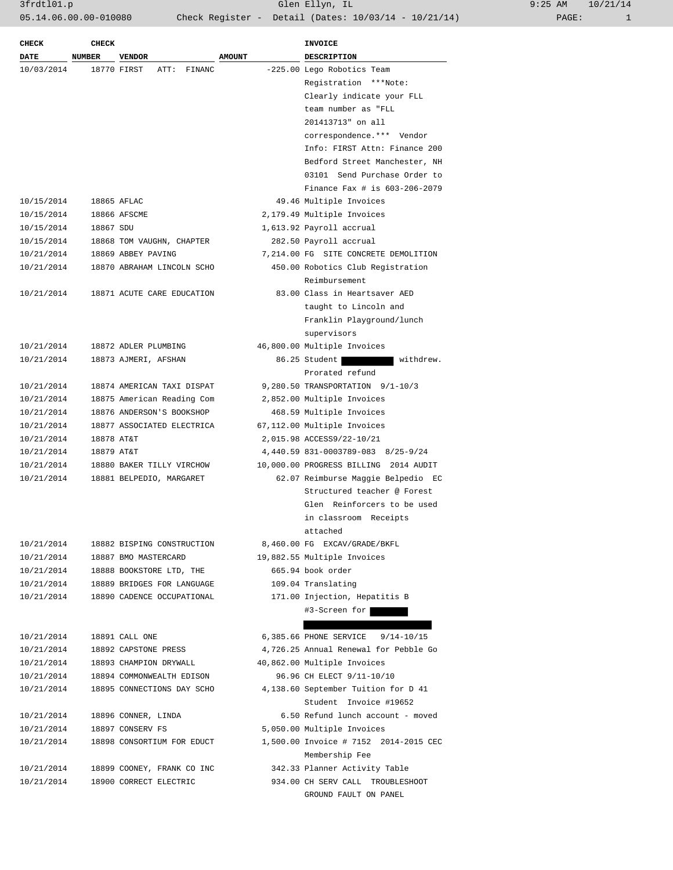3frdtl01.p Glen Ellyn, IL 9:25 AM 10/21/14 05.14.06.00.00-010080 Check Register - Detail (Dates: 10/03/14 - 10/21/14)

| -225.00 Lego Robotics Team<br>Registration ***Note:<br>Clearly indicate your FLL<br>team number as "FLL<br>201413713" on all<br>correspondence.*** Vendor<br>Info: FIRST Attn: Finance 200 |
|--------------------------------------------------------------------------------------------------------------------------------------------------------------------------------------------|
|                                                                                                                                                                                            |
|                                                                                                                                                                                            |
|                                                                                                                                                                                            |
|                                                                                                                                                                                            |
|                                                                                                                                                                                            |
|                                                                                                                                                                                            |
|                                                                                                                                                                                            |
|                                                                                                                                                                                            |
| Bedford Street Manchester, NH                                                                                                                                                              |
| 03101 Send Purchase Order to                                                                                                                                                               |
| Finance Fax # is 603-206-2079                                                                                                                                                              |
| 49.46 Multiple Invoices                                                                                                                                                                    |
| 2,179.49 Multiple Invoices                                                                                                                                                                 |
|                                                                                                                                                                                            |
|                                                                                                                                                                                            |
| 7,214.00 FG SITE CONCRETE DEMOLITION                                                                                                                                                       |
| 450.00 Robotics Club Registration                                                                                                                                                          |
|                                                                                                                                                                                            |
| 83.00 Class in Heartsaver AED                                                                                                                                                              |
| taught to Lincoln and                                                                                                                                                                      |
| Franklin Playground/lunch                                                                                                                                                                  |
|                                                                                                                                                                                            |
| 46,800.00 Multiple Invoices                                                                                                                                                                |
| 86.25 Student<br>withdrew.                                                                                                                                                                 |
|                                                                                                                                                                                            |
| 9,280.50 TRANSPORTATION 9/1-10/3                                                                                                                                                           |
| 2,852.00 Multiple Invoices                                                                                                                                                                 |
| 468.59 Multiple Invoices                                                                                                                                                                   |
| 67,112.00 Multiple Invoices                                                                                                                                                                |
| 2,015.98 ACCESS9/22-10/21                                                                                                                                                                  |
| 4,440.59 831-0003789-083 8/25-9/24                                                                                                                                                         |
| 10,000.00 PROGRESS BILLING 2014 AUDIT                                                                                                                                                      |
| 62.07 Reimburse Maggie Belpedio EC                                                                                                                                                         |
|                                                                                                                                                                                            |
| Structured teacher @ Forest                                                                                                                                                                |
| Glen Reinforcers to be used                                                                                                                                                                |
| in classroom Receipts                                                                                                                                                                      |
|                                                                                                                                                                                            |
| 8,460.00 FG EXCAV/GRADE/BKFL                                                                                                                                                               |
| 19,882.55 Multiple Invoices                                                                                                                                                                |
|                                                                                                                                                                                            |
|                                                                                                                                                                                            |
| 171.00 Injection, Hepatitis B                                                                                                                                                              |
| #3-Screen for                                                                                                                                                                              |
|                                                                                                                                                                                            |
| $9/14 - 10/15$                                                                                                                                                                             |
| 4,726.25 Annual Renewal for Pebble Go                                                                                                                                                      |
| 40,862.00 Multiple Invoices                                                                                                                                                                |
| 96.96 CH ELECT 9/11-10/10                                                                                                                                                                  |
| 4,138.60 September Tuition for D 41                                                                                                                                                        |
| Student Invoice #19652                                                                                                                                                                     |
| 6.50 Refund lunch account - moved                                                                                                                                                          |
| 5,050.00 Multiple Invoices                                                                                                                                                                 |
| 1,500.00 Invoice # 7152 2014-2015 CEC                                                                                                                                                      |
|                                                                                                                                                                                            |
| 342.33 Planner Activity Table                                                                                                                                                              |
| 934.00 CH SERV CALL TROUBLESHOOT                                                                                                                                                           |
| GROUND FAULT ON PANEL                                                                                                                                                                      |
| 1,613.92 Payroll accrual<br>282.50 Payroll accrual<br>Prorated refund                                                                                                                      |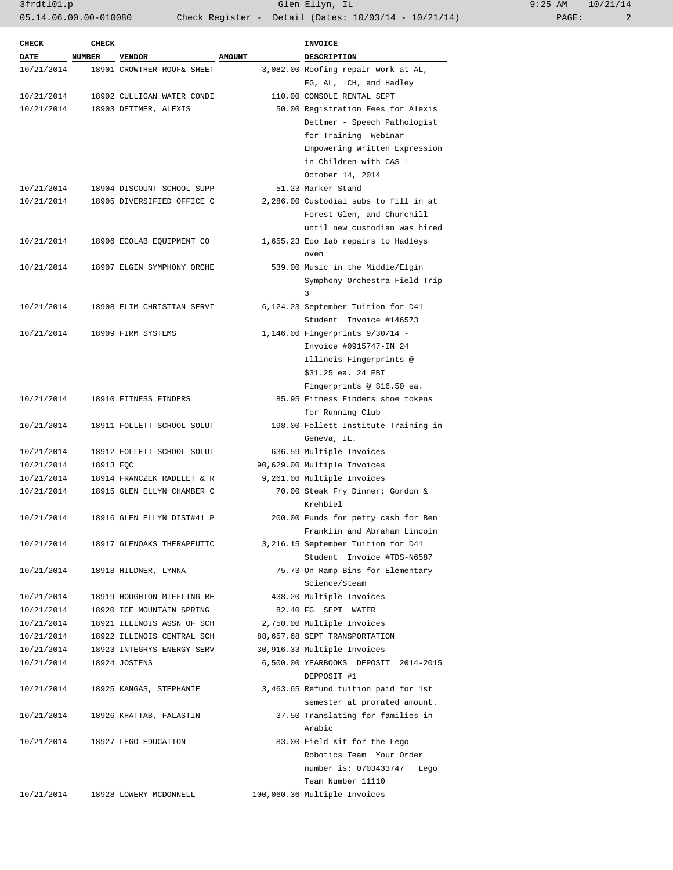| <b>DATE</b><br><b>NUMBER</b><br><b>VENDOR</b><br><b>AMOUNT</b><br><b>DESCRIPTION</b><br>3,082.00 Roofing repair work at AL,<br>10/21/2014<br>18901 CROWTHER ROOF& SHEET<br>FG, AL, CH, and Hadley<br>10/21/2014<br>18902 CULLIGAN WATER CONDI<br>110.00 CONSOLE RENTAL SEPT<br>50.00 Registration Fees for Alexis<br>10/21/2014<br>18903 DETTMER, ALEXIS<br>Dettmer - Speech Pathologist<br>for Training Webinar<br>Empowering Written Expression<br>in Children with CAS -<br>October 14, 2014<br>51.23 Marker Stand<br>10/21/2014<br>18904 DISCOUNT SCHOOL SUPP<br>2,286.00 Custodial subs to fill in at<br>10/21/2014<br>18905 DIVERSIFIED OFFICE C<br>Forest Glen, and Churchill<br>until new custodian was hired<br>1,655.23 Eco lab repairs to Hadleys<br>10/21/2014<br>18906 ECOLAB EQUIPMENT CO<br>oven<br>10/21/2014<br>18907 ELGIN SYMPHONY ORCHE<br>539.00 Music in the Middle/Elgin<br>Symphony Orchestra Field Trip<br>3<br>10/21/2014<br>18908 ELIM CHRISTIAN SERVI<br>6,124.23 September Tuition for D41<br>Student Invoice #146573<br>1,146.00 Fingerprints 9/30/14 -<br>10/21/2014<br>18909 FIRM SYSTEMS<br>Invoice #0915747-IN 24<br>Illinois Fingerprints @<br>\$31.25 ea. 24 FBI<br>Fingerprints @ \$16.50 ea.<br>85.95 Fitness Finders shoe tokens<br>10/21/2014<br>18910 FITNESS FINDERS<br>for Running Club<br>198.00 Follett Institute Training in<br>10/21/2014<br>18911 FOLLETT SCHOOL SOLUT<br>Geneva, IL.<br>10/21/2014<br>18912 FOLLETT SCHOOL SOLUT<br>636.59 Multiple Invoices<br>90,629.00 Multiple Invoices<br>10/21/2014<br>18913 FQC<br>9,261.00 Multiple Invoices<br>10/21/2014<br>18914 FRANCZEK RADELET & R<br>10/21/2014<br>70.00 Steak Fry Dinner; Gordon &<br>18915 GLEN ELLYN CHAMBER C<br>Krehbiel<br>10/21/2014<br>18916 GLEN ELLYN DIST#41 P<br>200.00 Funds for petty cash for Ben<br>Franklin and Abraham Lincoln<br>3,216.15 September Tuition for D41<br>10/21/2014<br>18917 GLENOAKS THERAPEUTIC<br>Student Invoice #TDS-N6587<br>10/21/2014<br>18918 HILDNER, LYNNA<br>75.73 On Ramp Bins for Elementary<br>Science/Steam<br>10/21/2014<br>18919 HOUGHTON MIFFLING RE<br>438.20 Multiple Invoices<br>10/21/2014<br>18920 ICE MOUNTAIN SPRING<br>82.40 FG SEPT WATER<br>10/21/2014<br>18921 ILLINOIS ASSN OF SCH<br>2,750.00 Multiple Invoices<br>10/21/2014<br>18922 ILLINOIS CENTRAL SCH<br>88,657.68 SEPT TRANSPORTATION<br>10/21/2014<br>18923 INTEGRYS ENERGY SERV<br>30,916.33 Multiple Invoices<br>6,500.00 YEARBOOKS DEPOSIT 2014-2015<br>10/21/2014<br>18924 JOSTENS<br>DEPPOSIT #1<br>3,463.65 Refund tuition paid for 1st<br>18925 KANGAS, STEPHANIE<br>10/21/2014<br>semester at prorated amount.<br>10/21/2014<br>18926 KHATTAB, FALASTIN<br>37.50 Translating for families in<br>Arabic<br>10/21/2014<br>18927 LEGO EDUCATION<br>83.00 Field Kit for the Lego<br>Robotics Team Your Order<br>number is: 0703433747<br>Lego<br>Team Number 11110<br>10/21/2014<br>18928 LOWERY MCDONNELL<br>100,060.36 Multiple Invoices | <b>CHECK</b> | <b>CHECK</b> |  | <b>INVOICE</b> |
|-----------------------------------------------------------------------------------------------------------------------------------------------------------------------------------------------------------------------------------------------------------------------------------------------------------------------------------------------------------------------------------------------------------------------------------------------------------------------------------------------------------------------------------------------------------------------------------------------------------------------------------------------------------------------------------------------------------------------------------------------------------------------------------------------------------------------------------------------------------------------------------------------------------------------------------------------------------------------------------------------------------------------------------------------------------------------------------------------------------------------------------------------------------------------------------------------------------------------------------------------------------------------------------------------------------------------------------------------------------------------------------------------------------------------------------------------------------------------------------------------------------------------------------------------------------------------------------------------------------------------------------------------------------------------------------------------------------------------------------------------------------------------------------------------------------------------------------------------------------------------------------------------------------------------------------------------------------------------------------------------------------------------------------------------------------------------------------------------------------------------------------------------------------------------------------------------------------------------------------------------------------------------------------------------------------------------------------------------------------------------------------------------------------------------------------------------------------------------------------------------------------------------------------------------------------------------------------------------------------------------------------------------------------------------------------------------------------------------------------------------------------------------------------------------------------------------------------------------------------------------------------------------------------------------------------------------------------------------------------------|--------------|--------------|--|----------------|
|                                                                                                                                                                                                                                                                                                                                                                                                                                                                                                                                                                                                                                                                                                                                                                                                                                                                                                                                                                                                                                                                                                                                                                                                                                                                                                                                                                                                                                                                                                                                                                                                                                                                                                                                                                                                                                                                                                                                                                                                                                                                                                                                                                                                                                                                                                                                                                                                                                                                                                                                                                                                                                                                                                                                                                                                                                                                                                                                                                                         |              |              |  |                |
|                                                                                                                                                                                                                                                                                                                                                                                                                                                                                                                                                                                                                                                                                                                                                                                                                                                                                                                                                                                                                                                                                                                                                                                                                                                                                                                                                                                                                                                                                                                                                                                                                                                                                                                                                                                                                                                                                                                                                                                                                                                                                                                                                                                                                                                                                                                                                                                                                                                                                                                                                                                                                                                                                                                                                                                                                                                                                                                                                                                         |              |              |  |                |
|                                                                                                                                                                                                                                                                                                                                                                                                                                                                                                                                                                                                                                                                                                                                                                                                                                                                                                                                                                                                                                                                                                                                                                                                                                                                                                                                                                                                                                                                                                                                                                                                                                                                                                                                                                                                                                                                                                                                                                                                                                                                                                                                                                                                                                                                                                                                                                                                                                                                                                                                                                                                                                                                                                                                                                                                                                                                                                                                                                                         |              |              |  |                |
|                                                                                                                                                                                                                                                                                                                                                                                                                                                                                                                                                                                                                                                                                                                                                                                                                                                                                                                                                                                                                                                                                                                                                                                                                                                                                                                                                                                                                                                                                                                                                                                                                                                                                                                                                                                                                                                                                                                                                                                                                                                                                                                                                                                                                                                                                                                                                                                                                                                                                                                                                                                                                                                                                                                                                                                                                                                                                                                                                                                         |              |              |  |                |
|                                                                                                                                                                                                                                                                                                                                                                                                                                                                                                                                                                                                                                                                                                                                                                                                                                                                                                                                                                                                                                                                                                                                                                                                                                                                                                                                                                                                                                                                                                                                                                                                                                                                                                                                                                                                                                                                                                                                                                                                                                                                                                                                                                                                                                                                                                                                                                                                                                                                                                                                                                                                                                                                                                                                                                                                                                                                                                                                                                                         |              |              |  |                |
|                                                                                                                                                                                                                                                                                                                                                                                                                                                                                                                                                                                                                                                                                                                                                                                                                                                                                                                                                                                                                                                                                                                                                                                                                                                                                                                                                                                                                                                                                                                                                                                                                                                                                                                                                                                                                                                                                                                                                                                                                                                                                                                                                                                                                                                                                                                                                                                                                                                                                                                                                                                                                                                                                                                                                                                                                                                                                                                                                                                         |              |              |  |                |
|                                                                                                                                                                                                                                                                                                                                                                                                                                                                                                                                                                                                                                                                                                                                                                                                                                                                                                                                                                                                                                                                                                                                                                                                                                                                                                                                                                                                                                                                                                                                                                                                                                                                                                                                                                                                                                                                                                                                                                                                                                                                                                                                                                                                                                                                                                                                                                                                                                                                                                                                                                                                                                                                                                                                                                                                                                                                                                                                                                                         |              |              |  |                |
|                                                                                                                                                                                                                                                                                                                                                                                                                                                                                                                                                                                                                                                                                                                                                                                                                                                                                                                                                                                                                                                                                                                                                                                                                                                                                                                                                                                                                                                                                                                                                                                                                                                                                                                                                                                                                                                                                                                                                                                                                                                                                                                                                                                                                                                                                                                                                                                                                                                                                                                                                                                                                                                                                                                                                                                                                                                                                                                                                                                         |              |              |  |                |
|                                                                                                                                                                                                                                                                                                                                                                                                                                                                                                                                                                                                                                                                                                                                                                                                                                                                                                                                                                                                                                                                                                                                                                                                                                                                                                                                                                                                                                                                                                                                                                                                                                                                                                                                                                                                                                                                                                                                                                                                                                                                                                                                                                                                                                                                                                                                                                                                                                                                                                                                                                                                                                                                                                                                                                                                                                                                                                                                                                                         |              |              |  |                |
|                                                                                                                                                                                                                                                                                                                                                                                                                                                                                                                                                                                                                                                                                                                                                                                                                                                                                                                                                                                                                                                                                                                                                                                                                                                                                                                                                                                                                                                                                                                                                                                                                                                                                                                                                                                                                                                                                                                                                                                                                                                                                                                                                                                                                                                                                                                                                                                                                                                                                                                                                                                                                                                                                                                                                                                                                                                                                                                                                                                         |              |              |  |                |
|                                                                                                                                                                                                                                                                                                                                                                                                                                                                                                                                                                                                                                                                                                                                                                                                                                                                                                                                                                                                                                                                                                                                                                                                                                                                                                                                                                                                                                                                                                                                                                                                                                                                                                                                                                                                                                                                                                                                                                                                                                                                                                                                                                                                                                                                                                                                                                                                                                                                                                                                                                                                                                                                                                                                                                                                                                                                                                                                                                                         |              |              |  |                |
|                                                                                                                                                                                                                                                                                                                                                                                                                                                                                                                                                                                                                                                                                                                                                                                                                                                                                                                                                                                                                                                                                                                                                                                                                                                                                                                                                                                                                                                                                                                                                                                                                                                                                                                                                                                                                                                                                                                                                                                                                                                                                                                                                                                                                                                                                                                                                                                                                                                                                                                                                                                                                                                                                                                                                                                                                                                                                                                                                                                         |              |              |  |                |
|                                                                                                                                                                                                                                                                                                                                                                                                                                                                                                                                                                                                                                                                                                                                                                                                                                                                                                                                                                                                                                                                                                                                                                                                                                                                                                                                                                                                                                                                                                                                                                                                                                                                                                                                                                                                                                                                                                                                                                                                                                                                                                                                                                                                                                                                                                                                                                                                                                                                                                                                                                                                                                                                                                                                                                                                                                                                                                                                                                                         |              |              |  |                |
|                                                                                                                                                                                                                                                                                                                                                                                                                                                                                                                                                                                                                                                                                                                                                                                                                                                                                                                                                                                                                                                                                                                                                                                                                                                                                                                                                                                                                                                                                                                                                                                                                                                                                                                                                                                                                                                                                                                                                                                                                                                                                                                                                                                                                                                                                                                                                                                                                                                                                                                                                                                                                                                                                                                                                                                                                                                                                                                                                                                         |              |              |  |                |
|                                                                                                                                                                                                                                                                                                                                                                                                                                                                                                                                                                                                                                                                                                                                                                                                                                                                                                                                                                                                                                                                                                                                                                                                                                                                                                                                                                                                                                                                                                                                                                                                                                                                                                                                                                                                                                                                                                                                                                                                                                                                                                                                                                                                                                                                                                                                                                                                                                                                                                                                                                                                                                                                                                                                                                                                                                                                                                                                                                                         |              |              |  |                |
|                                                                                                                                                                                                                                                                                                                                                                                                                                                                                                                                                                                                                                                                                                                                                                                                                                                                                                                                                                                                                                                                                                                                                                                                                                                                                                                                                                                                                                                                                                                                                                                                                                                                                                                                                                                                                                                                                                                                                                                                                                                                                                                                                                                                                                                                                                                                                                                                                                                                                                                                                                                                                                                                                                                                                                                                                                                                                                                                                                                         |              |              |  |                |
|                                                                                                                                                                                                                                                                                                                                                                                                                                                                                                                                                                                                                                                                                                                                                                                                                                                                                                                                                                                                                                                                                                                                                                                                                                                                                                                                                                                                                                                                                                                                                                                                                                                                                                                                                                                                                                                                                                                                                                                                                                                                                                                                                                                                                                                                                                                                                                                                                                                                                                                                                                                                                                                                                                                                                                                                                                                                                                                                                                                         |              |              |  |                |
|                                                                                                                                                                                                                                                                                                                                                                                                                                                                                                                                                                                                                                                                                                                                                                                                                                                                                                                                                                                                                                                                                                                                                                                                                                                                                                                                                                                                                                                                                                                                                                                                                                                                                                                                                                                                                                                                                                                                                                                                                                                                                                                                                                                                                                                                                                                                                                                                                                                                                                                                                                                                                                                                                                                                                                                                                                                                                                                                                                                         |              |              |  |                |
|                                                                                                                                                                                                                                                                                                                                                                                                                                                                                                                                                                                                                                                                                                                                                                                                                                                                                                                                                                                                                                                                                                                                                                                                                                                                                                                                                                                                                                                                                                                                                                                                                                                                                                                                                                                                                                                                                                                                                                                                                                                                                                                                                                                                                                                                                                                                                                                                                                                                                                                                                                                                                                                                                                                                                                                                                                                                                                                                                                                         |              |              |  |                |
|                                                                                                                                                                                                                                                                                                                                                                                                                                                                                                                                                                                                                                                                                                                                                                                                                                                                                                                                                                                                                                                                                                                                                                                                                                                                                                                                                                                                                                                                                                                                                                                                                                                                                                                                                                                                                                                                                                                                                                                                                                                                                                                                                                                                                                                                                                                                                                                                                                                                                                                                                                                                                                                                                                                                                                                                                                                                                                                                                                                         |              |              |  |                |
|                                                                                                                                                                                                                                                                                                                                                                                                                                                                                                                                                                                                                                                                                                                                                                                                                                                                                                                                                                                                                                                                                                                                                                                                                                                                                                                                                                                                                                                                                                                                                                                                                                                                                                                                                                                                                                                                                                                                                                                                                                                                                                                                                                                                                                                                                                                                                                                                                                                                                                                                                                                                                                                                                                                                                                                                                                                                                                                                                                                         |              |              |  |                |
|                                                                                                                                                                                                                                                                                                                                                                                                                                                                                                                                                                                                                                                                                                                                                                                                                                                                                                                                                                                                                                                                                                                                                                                                                                                                                                                                                                                                                                                                                                                                                                                                                                                                                                                                                                                                                                                                                                                                                                                                                                                                                                                                                                                                                                                                                                                                                                                                                                                                                                                                                                                                                                                                                                                                                                                                                                                                                                                                                                                         |              |              |  |                |
|                                                                                                                                                                                                                                                                                                                                                                                                                                                                                                                                                                                                                                                                                                                                                                                                                                                                                                                                                                                                                                                                                                                                                                                                                                                                                                                                                                                                                                                                                                                                                                                                                                                                                                                                                                                                                                                                                                                                                                                                                                                                                                                                                                                                                                                                                                                                                                                                                                                                                                                                                                                                                                                                                                                                                                                                                                                                                                                                                                                         |              |              |  |                |
|                                                                                                                                                                                                                                                                                                                                                                                                                                                                                                                                                                                                                                                                                                                                                                                                                                                                                                                                                                                                                                                                                                                                                                                                                                                                                                                                                                                                                                                                                                                                                                                                                                                                                                                                                                                                                                                                                                                                                                                                                                                                                                                                                                                                                                                                                                                                                                                                                                                                                                                                                                                                                                                                                                                                                                                                                                                                                                                                                                                         |              |              |  |                |
|                                                                                                                                                                                                                                                                                                                                                                                                                                                                                                                                                                                                                                                                                                                                                                                                                                                                                                                                                                                                                                                                                                                                                                                                                                                                                                                                                                                                                                                                                                                                                                                                                                                                                                                                                                                                                                                                                                                                                                                                                                                                                                                                                                                                                                                                                                                                                                                                                                                                                                                                                                                                                                                                                                                                                                                                                                                                                                                                                                                         |              |              |  |                |
|                                                                                                                                                                                                                                                                                                                                                                                                                                                                                                                                                                                                                                                                                                                                                                                                                                                                                                                                                                                                                                                                                                                                                                                                                                                                                                                                                                                                                                                                                                                                                                                                                                                                                                                                                                                                                                                                                                                                                                                                                                                                                                                                                                                                                                                                                                                                                                                                                                                                                                                                                                                                                                                                                                                                                                                                                                                                                                                                                                                         |              |              |  |                |
|                                                                                                                                                                                                                                                                                                                                                                                                                                                                                                                                                                                                                                                                                                                                                                                                                                                                                                                                                                                                                                                                                                                                                                                                                                                                                                                                                                                                                                                                                                                                                                                                                                                                                                                                                                                                                                                                                                                                                                                                                                                                                                                                                                                                                                                                                                                                                                                                                                                                                                                                                                                                                                                                                                                                                                                                                                                                                                                                                                                         |              |              |  |                |
|                                                                                                                                                                                                                                                                                                                                                                                                                                                                                                                                                                                                                                                                                                                                                                                                                                                                                                                                                                                                                                                                                                                                                                                                                                                                                                                                                                                                                                                                                                                                                                                                                                                                                                                                                                                                                                                                                                                                                                                                                                                                                                                                                                                                                                                                                                                                                                                                                                                                                                                                                                                                                                                                                                                                                                                                                                                                                                                                                                                         |              |              |  |                |
|                                                                                                                                                                                                                                                                                                                                                                                                                                                                                                                                                                                                                                                                                                                                                                                                                                                                                                                                                                                                                                                                                                                                                                                                                                                                                                                                                                                                                                                                                                                                                                                                                                                                                                                                                                                                                                                                                                                                                                                                                                                                                                                                                                                                                                                                                                                                                                                                                                                                                                                                                                                                                                                                                                                                                                                                                                                                                                                                                                                         |              |              |  |                |
|                                                                                                                                                                                                                                                                                                                                                                                                                                                                                                                                                                                                                                                                                                                                                                                                                                                                                                                                                                                                                                                                                                                                                                                                                                                                                                                                                                                                                                                                                                                                                                                                                                                                                                                                                                                                                                                                                                                                                                                                                                                                                                                                                                                                                                                                                                                                                                                                                                                                                                                                                                                                                                                                                                                                                                                                                                                                                                                                                                                         |              |              |  |                |
|                                                                                                                                                                                                                                                                                                                                                                                                                                                                                                                                                                                                                                                                                                                                                                                                                                                                                                                                                                                                                                                                                                                                                                                                                                                                                                                                                                                                                                                                                                                                                                                                                                                                                                                                                                                                                                                                                                                                                                                                                                                                                                                                                                                                                                                                                                                                                                                                                                                                                                                                                                                                                                                                                                                                                                                                                                                                                                                                                                                         |              |              |  |                |
|                                                                                                                                                                                                                                                                                                                                                                                                                                                                                                                                                                                                                                                                                                                                                                                                                                                                                                                                                                                                                                                                                                                                                                                                                                                                                                                                                                                                                                                                                                                                                                                                                                                                                                                                                                                                                                                                                                                                                                                                                                                                                                                                                                                                                                                                                                                                                                                                                                                                                                                                                                                                                                                                                                                                                                                                                                                                                                                                                                                         |              |              |  |                |
|                                                                                                                                                                                                                                                                                                                                                                                                                                                                                                                                                                                                                                                                                                                                                                                                                                                                                                                                                                                                                                                                                                                                                                                                                                                                                                                                                                                                                                                                                                                                                                                                                                                                                                                                                                                                                                                                                                                                                                                                                                                                                                                                                                                                                                                                                                                                                                                                                                                                                                                                                                                                                                                                                                                                                                                                                                                                                                                                                                                         |              |              |  |                |
|                                                                                                                                                                                                                                                                                                                                                                                                                                                                                                                                                                                                                                                                                                                                                                                                                                                                                                                                                                                                                                                                                                                                                                                                                                                                                                                                                                                                                                                                                                                                                                                                                                                                                                                                                                                                                                                                                                                                                                                                                                                                                                                                                                                                                                                                                                                                                                                                                                                                                                                                                                                                                                                                                                                                                                                                                                                                                                                                                                                         |              |              |  |                |
|                                                                                                                                                                                                                                                                                                                                                                                                                                                                                                                                                                                                                                                                                                                                                                                                                                                                                                                                                                                                                                                                                                                                                                                                                                                                                                                                                                                                                                                                                                                                                                                                                                                                                                                                                                                                                                                                                                                                                                                                                                                                                                                                                                                                                                                                                                                                                                                                                                                                                                                                                                                                                                                                                                                                                                                                                                                                                                                                                                                         |              |              |  |                |
|                                                                                                                                                                                                                                                                                                                                                                                                                                                                                                                                                                                                                                                                                                                                                                                                                                                                                                                                                                                                                                                                                                                                                                                                                                                                                                                                                                                                                                                                                                                                                                                                                                                                                                                                                                                                                                                                                                                                                                                                                                                                                                                                                                                                                                                                                                                                                                                                                                                                                                                                                                                                                                                                                                                                                                                                                                                                                                                                                                                         |              |              |  |                |
|                                                                                                                                                                                                                                                                                                                                                                                                                                                                                                                                                                                                                                                                                                                                                                                                                                                                                                                                                                                                                                                                                                                                                                                                                                                                                                                                                                                                                                                                                                                                                                                                                                                                                                                                                                                                                                                                                                                                                                                                                                                                                                                                                                                                                                                                                                                                                                                                                                                                                                                                                                                                                                                                                                                                                                                                                                                                                                                                                                                         |              |              |  |                |
|                                                                                                                                                                                                                                                                                                                                                                                                                                                                                                                                                                                                                                                                                                                                                                                                                                                                                                                                                                                                                                                                                                                                                                                                                                                                                                                                                                                                                                                                                                                                                                                                                                                                                                                                                                                                                                                                                                                                                                                                                                                                                                                                                                                                                                                                                                                                                                                                                                                                                                                                                                                                                                                                                                                                                                                                                                                                                                                                                                                         |              |              |  |                |
|                                                                                                                                                                                                                                                                                                                                                                                                                                                                                                                                                                                                                                                                                                                                                                                                                                                                                                                                                                                                                                                                                                                                                                                                                                                                                                                                                                                                                                                                                                                                                                                                                                                                                                                                                                                                                                                                                                                                                                                                                                                                                                                                                                                                                                                                                                                                                                                                                                                                                                                                                                                                                                                                                                                                                                                                                                                                                                                                                                                         |              |              |  |                |
|                                                                                                                                                                                                                                                                                                                                                                                                                                                                                                                                                                                                                                                                                                                                                                                                                                                                                                                                                                                                                                                                                                                                                                                                                                                                                                                                                                                                                                                                                                                                                                                                                                                                                                                                                                                                                                                                                                                                                                                                                                                                                                                                                                                                                                                                                                                                                                                                                                                                                                                                                                                                                                                                                                                                                                                                                                                                                                                                                                                         |              |              |  |                |
|                                                                                                                                                                                                                                                                                                                                                                                                                                                                                                                                                                                                                                                                                                                                                                                                                                                                                                                                                                                                                                                                                                                                                                                                                                                                                                                                                                                                                                                                                                                                                                                                                                                                                                                                                                                                                                                                                                                                                                                                                                                                                                                                                                                                                                                                                                                                                                                                                                                                                                                                                                                                                                                                                                                                                                                                                                                                                                                                                                                         |              |              |  |                |
|                                                                                                                                                                                                                                                                                                                                                                                                                                                                                                                                                                                                                                                                                                                                                                                                                                                                                                                                                                                                                                                                                                                                                                                                                                                                                                                                                                                                                                                                                                                                                                                                                                                                                                                                                                                                                                                                                                                                                                                                                                                                                                                                                                                                                                                                                                                                                                                                                                                                                                                                                                                                                                                                                                                                                                                                                                                                                                                                                                                         |              |              |  |                |
|                                                                                                                                                                                                                                                                                                                                                                                                                                                                                                                                                                                                                                                                                                                                                                                                                                                                                                                                                                                                                                                                                                                                                                                                                                                                                                                                                                                                                                                                                                                                                                                                                                                                                                                                                                                                                                                                                                                                                                                                                                                                                                                                                                                                                                                                                                                                                                                                                                                                                                                                                                                                                                                                                                                                                                                                                                                                                                                                                                                         |              |              |  |                |
|                                                                                                                                                                                                                                                                                                                                                                                                                                                                                                                                                                                                                                                                                                                                                                                                                                                                                                                                                                                                                                                                                                                                                                                                                                                                                                                                                                                                                                                                                                                                                                                                                                                                                                                                                                                                                                                                                                                                                                                                                                                                                                                                                                                                                                                                                                                                                                                                                                                                                                                                                                                                                                                                                                                                                                                                                                                                                                                                                                                         |              |              |  |                |
|                                                                                                                                                                                                                                                                                                                                                                                                                                                                                                                                                                                                                                                                                                                                                                                                                                                                                                                                                                                                                                                                                                                                                                                                                                                                                                                                                                                                                                                                                                                                                                                                                                                                                                                                                                                                                                                                                                                                                                                                                                                                                                                                                                                                                                                                                                                                                                                                                                                                                                                                                                                                                                                                                                                                                                                                                                                                                                                                                                                         |              |              |  |                |
|                                                                                                                                                                                                                                                                                                                                                                                                                                                                                                                                                                                                                                                                                                                                                                                                                                                                                                                                                                                                                                                                                                                                                                                                                                                                                                                                                                                                                                                                                                                                                                                                                                                                                                                                                                                                                                                                                                                                                                                                                                                                                                                                                                                                                                                                                                                                                                                                                                                                                                                                                                                                                                                                                                                                                                                                                                                                                                                                                                                         |              |              |  |                |
|                                                                                                                                                                                                                                                                                                                                                                                                                                                                                                                                                                                                                                                                                                                                                                                                                                                                                                                                                                                                                                                                                                                                                                                                                                                                                                                                                                                                                                                                                                                                                                                                                                                                                                                                                                                                                                                                                                                                                                                                                                                                                                                                                                                                                                                                                                                                                                                                                                                                                                                                                                                                                                                                                                                                                                                                                                                                                                                                                                                         |              |              |  |                |
|                                                                                                                                                                                                                                                                                                                                                                                                                                                                                                                                                                                                                                                                                                                                                                                                                                                                                                                                                                                                                                                                                                                                                                                                                                                                                                                                                                                                                                                                                                                                                                                                                                                                                                                                                                                                                                                                                                                                                                                                                                                                                                                                                                                                                                                                                                                                                                                                                                                                                                                                                                                                                                                                                                                                                                                                                                                                                                                                                                                         |              |              |  |                |
|                                                                                                                                                                                                                                                                                                                                                                                                                                                                                                                                                                                                                                                                                                                                                                                                                                                                                                                                                                                                                                                                                                                                                                                                                                                                                                                                                                                                                                                                                                                                                                                                                                                                                                                                                                                                                                                                                                                                                                                                                                                                                                                                                                                                                                                                                                                                                                                                                                                                                                                                                                                                                                                                                                                                                                                                                                                                                                                                                                                         |              |              |  |                |
|                                                                                                                                                                                                                                                                                                                                                                                                                                                                                                                                                                                                                                                                                                                                                                                                                                                                                                                                                                                                                                                                                                                                                                                                                                                                                                                                                                                                                                                                                                                                                                                                                                                                                                                                                                                                                                                                                                                                                                                                                                                                                                                                                                                                                                                                                                                                                                                                                                                                                                                                                                                                                                                                                                                                                                                                                                                                                                                                                                                         |              |              |  |                |
|                                                                                                                                                                                                                                                                                                                                                                                                                                                                                                                                                                                                                                                                                                                                                                                                                                                                                                                                                                                                                                                                                                                                                                                                                                                                                                                                                                                                                                                                                                                                                                                                                                                                                                                                                                                                                                                                                                                                                                                                                                                                                                                                                                                                                                                                                                                                                                                                                                                                                                                                                                                                                                                                                                                                                                                                                                                                                                                                                                                         |              |              |  |                |
|                                                                                                                                                                                                                                                                                                                                                                                                                                                                                                                                                                                                                                                                                                                                                                                                                                                                                                                                                                                                                                                                                                                                                                                                                                                                                                                                                                                                                                                                                                                                                                                                                                                                                                                                                                                                                                                                                                                                                                                                                                                                                                                                                                                                                                                                                                                                                                                                                                                                                                                                                                                                                                                                                                                                                                                                                                                                                                                                                                                         |              |              |  |                |
|                                                                                                                                                                                                                                                                                                                                                                                                                                                                                                                                                                                                                                                                                                                                                                                                                                                                                                                                                                                                                                                                                                                                                                                                                                                                                                                                                                                                                                                                                                                                                                                                                                                                                                                                                                                                                                                                                                                                                                                                                                                                                                                                                                                                                                                                                                                                                                                                                                                                                                                                                                                                                                                                                                                                                                                                                                                                                                                                                                                         |              |              |  |                |
|                                                                                                                                                                                                                                                                                                                                                                                                                                                                                                                                                                                                                                                                                                                                                                                                                                                                                                                                                                                                                                                                                                                                                                                                                                                                                                                                                                                                                                                                                                                                                                                                                                                                                                                                                                                                                                                                                                                                                                                                                                                                                                                                                                                                                                                                                                                                                                                                                                                                                                                                                                                                                                                                                                                                                                                                                                                                                                                                                                                         |              |              |  |                |
|                                                                                                                                                                                                                                                                                                                                                                                                                                                                                                                                                                                                                                                                                                                                                                                                                                                                                                                                                                                                                                                                                                                                                                                                                                                                                                                                                                                                                                                                                                                                                                                                                                                                                                                                                                                                                                                                                                                                                                                                                                                                                                                                                                                                                                                                                                                                                                                                                                                                                                                                                                                                                                                                                                                                                                                                                                                                                                                                                                                         |              |              |  |                |
|                                                                                                                                                                                                                                                                                                                                                                                                                                                                                                                                                                                                                                                                                                                                                                                                                                                                                                                                                                                                                                                                                                                                                                                                                                                                                                                                                                                                                                                                                                                                                                                                                                                                                                                                                                                                                                                                                                                                                                                                                                                                                                                                                                                                                                                                                                                                                                                                                                                                                                                                                                                                                                                                                                                                                                                                                                                                                                                                                                                         |              |              |  |                |
|                                                                                                                                                                                                                                                                                                                                                                                                                                                                                                                                                                                                                                                                                                                                                                                                                                                                                                                                                                                                                                                                                                                                                                                                                                                                                                                                                                                                                                                                                                                                                                                                                                                                                                                                                                                                                                                                                                                                                                                                                                                                                                                                                                                                                                                                                                                                                                                                                                                                                                                                                                                                                                                                                                                                                                                                                                                                                                                                                                                         |              |              |  |                |
|                                                                                                                                                                                                                                                                                                                                                                                                                                                                                                                                                                                                                                                                                                                                                                                                                                                                                                                                                                                                                                                                                                                                                                                                                                                                                                                                                                                                                                                                                                                                                                                                                                                                                                                                                                                                                                                                                                                                                                                                                                                                                                                                                                                                                                                                                                                                                                                                                                                                                                                                                                                                                                                                                                                                                                                                                                                                                                                                                                                         |              |              |  |                |
|                                                                                                                                                                                                                                                                                                                                                                                                                                                                                                                                                                                                                                                                                                                                                                                                                                                                                                                                                                                                                                                                                                                                                                                                                                                                                                                                                                                                                                                                                                                                                                                                                                                                                                                                                                                                                                                                                                                                                                                                                                                                                                                                                                                                                                                                                                                                                                                                                                                                                                                                                                                                                                                                                                                                                                                                                                                                                                                                                                                         |              |              |  |                |
|                                                                                                                                                                                                                                                                                                                                                                                                                                                                                                                                                                                                                                                                                                                                                                                                                                                                                                                                                                                                                                                                                                                                                                                                                                                                                                                                                                                                                                                                                                                                                                                                                                                                                                                                                                                                                                                                                                                                                                                                                                                                                                                                                                                                                                                                                                                                                                                                                                                                                                                                                                                                                                                                                                                                                                                                                                                                                                                                                                                         |              |              |  |                |
|                                                                                                                                                                                                                                                                                                                                                                                                                                                                                                                                                                                                                                                                                                                                                                                                                                                                                                                                                                                                                                                                                                                                                                                                                                                                                                                                                                                                                                                                                                                                                                                                                                                                                                                                                                                                                                                                                                                                                                                                                                                                                                                                                                                                                                                                                                                                                                                                                                                                                                                                                                                                                                                                                                                                                                                                                                                                                                                                                                                         |              |              |  |                |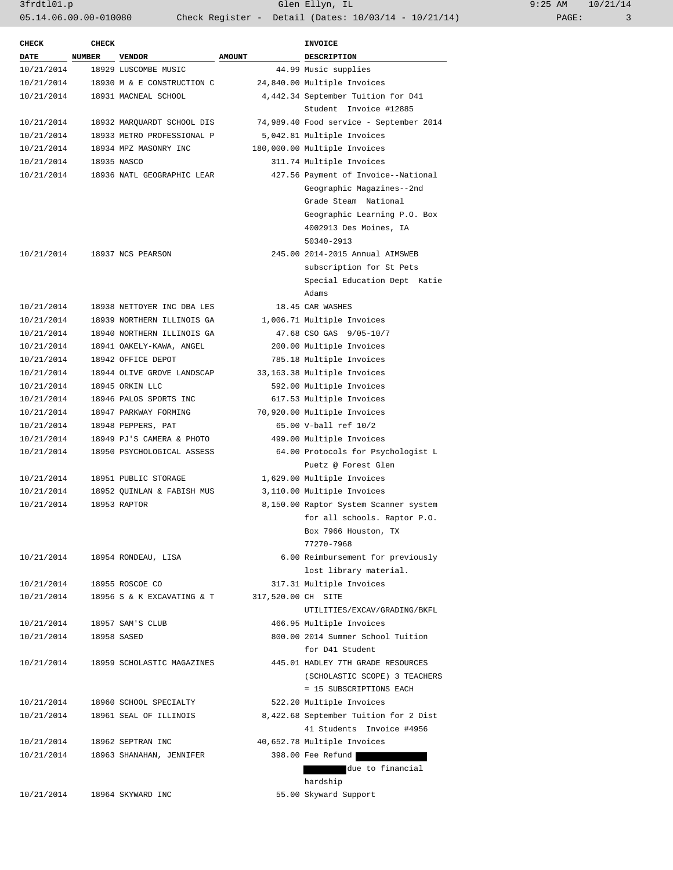3frdtl01.p Glen Ellyn, IL 9:25 AM 10/21/14 05.14.06.00.00-010080 Check Register - Detail (Dates: 10/03/14 - 10/21/14) PAGE: 3

| <b>CHECK</b> | <b>CHECK</b>  |                            |                    | <b>INVOICE</b>                          |
|--------------|---------------|----------------------------|--------------------|-----------------------------------------|
| <b>DATE</b>  | <b>NUMBER</b> | <b>VENDOR</b>              | <b>AMOUNT</b>      | <b>DESCRIPTION</b>                      |
| 10/21/2014   |               | 18929 LUSCOMBE MUSIC       |                    | 44.99 Music supplies                    |
| 10/21/2014   |               | 18930 M & E CONSTRUCTION C |                    | 24,840.00 Multiple Invoices             |
| 10/21/2014   |               | 18931 MACNEAL SCHOOL       |                    | 4,442.34 September Tuition for D41      |
|              |               |                            |                    | Student Invoice #12885                  |
| 10/21/2014   |               | 18932 MARQUARDT SCHOOL DIS |                    | 74,989.40 Food service - September 2014 |
| 10/21/2014   |               | 18933 METRO PROFESSIONAL P |                    | 5,042.81 Multiple Invoices              |
| 10/21/2014   |               | 18934 MPZ MASONRY INC      |                    | 180,000.00 Multiple Invoices            |
| 10/21/2014   |               | 18935 NASCO                |                    | 311.74 Multiple Invoices                |
| 10/21/2014   |               | 18936 NATL GEOGRAPHIC LEAR |                    | 427.56 Payment of Invoice--National     |
|              |               |                            |                    | Geographic Magazines--2nd               |
|              |               |                            |                    | Grade Steam National                    |
|              |               |                            |                    | Geographic Learning P.O. Box            |
|              |               |                            |                    | 4002913 Des Moines, IA                  |
|              |               |                            |                    | 50340-2913                              |
| 10/21/2014   |               | 18937 NCS PEARSON          |                    | 245.00 2014-2015 Annual AIMSWEB         |
|              |               |                            |                    | subscription for St Pets                |
|              |               |                            |                    | Special Education Dept Katie            |
|              |               |                            |                    | Adams                                   |
| 10/21/2014   |               | 18938 NETTOYER INC DBA LES |                    | 18.45 CAR WASHES                        |
| 10/21/2014   |               | 18939 NORTHERN ILLINOIS GA |                    | 1,006.71 Multiple Invoices              |
| 10/21/2014   |               | 18940 NORTHERN ILLINOIS GA |                    | 47.68 CSO GAS 9/05-10/7                 |
| 10/21/2014   |               | 18941 OAKELY-KAWA, ANGEL   |                    | 200.00 Multiple Invoices                |
| 10/21/2014   |               | 18942 OFFICE DEPOT         |                    | 785.18 Multiple Invoices                |
| 10/21/2014   |               | 18944 OLIVE GROVE LANDSCAP |                    | 33,163.38 Multiple Invoices             |
| 10/21/2014   |               | 18945 ORKIN LLC            |                    | 592.00 Multiple Invoices                |
| 10/21/2014   |               | 18946 PALOS SPORTS INC     |                    | 617.53 Multiple Invoices                |
| 10/21/2014   |               | 18947 PARKWAY FORMING      |                    | 70,920.00 Multiple Invoices             |
| 10/21/2014   |               | 18948 PEPPERS, PAT         |                    | 65.00 V-ball ref 10/2                   |
| 10/21/2014   |               | 18949 PJ'S CAMERA & PHOTO  |                    | 499.00 Multiple Invoices                |
| 10/21/2014   |               | 18950 PSYCHOLOGICAL ASSESS |                    | 64.00 Protocols for Psychologist L      |
|              |               |                            |                    | Puetz @ Forest Glen                     |
| 10/21/2014   |               | 18951 PUBLIC STORAGE       |                    | 1,629.00 Multiple Invoices              |
| 10/21/2014   |               | 18952 QUINLAN & FABISH MUS |                    | 3,110.00 Multiple Invoices              |
| 10/21/2014   |               | 18953 RAPTOR               |                    | 8,150.00 Raptor System Scanner system   |
|              |               |                            |                    | for all schools. Raptor P.O.            |
|              |               |                            |                    | Box 7966 Houston, TX                    |
|              |               |                            |                    | 77270-7968                              |
| 10/21/2014   |               | 18954 RONDEAU, LISA        |                    | 6.00 Reimbursement for previously       |
|              |               |                            |                    | lost library material.                  |
| 10/21/2014   |               | 18955 ROSCOE CO            |                    | 317.31 Multiple Invoices                |
| 10/21/2014   |               | 18956 S & K EXCAVATING & T | 317,520.00 CH SITE |                                         |
|              |               |                            |                    | UTILITIES/EXCAV/GRADING/BKFL            |
| 10/21/2014   |               | 18957 SAM'S CLUB           |                    | 466.95 Multiple Invoices                |
| 10/21/2014   |               | 18958 SASED                |                    | 800.00 2014 Summer School Tuition       |
|              |               |                            |                    | for D41 Student                         |
| 10/21/2014   |               | 18959 SCHOLASTIC MAGAZINES |                    | 445.01 HADLEY 7TH GRADE RESOURCES       |
|              |               |                            |                    | (SCHOLASTIC SCOPE) 3 TEACHERS           |
|              |               |                            |                    | = 15 SUBSCRIPTIONS EACH                 |
| 10/21/2014   |               | 18960 SCHOOL SPECIALTY     |                    | 522.20 Multiple Invoices                |
| 10/21/2014   |               | 18961 SEAL OF ILLINOIS     |                    | 8,422.68 September Tuition for 2 Dist   |
|              |               |                            |                    | 41 Students Invoice #4956               |
| 10/21/2014   |               | 18962 SEPTRAN INC          |                    | 40,652.78 Multiple Invoices             |
| 10/21/2014   |               | 18963 SHANAHAN, JENNIFER   |                    | 398.00 Fee Refund                       |
|              |               |                            |                    | due to financial                        |
|              |               |                            |                    | hardship                                |
| 10/21/2014   |               | 18964 SKYWARD INC          |                    | 55.00 Skyward Support                   |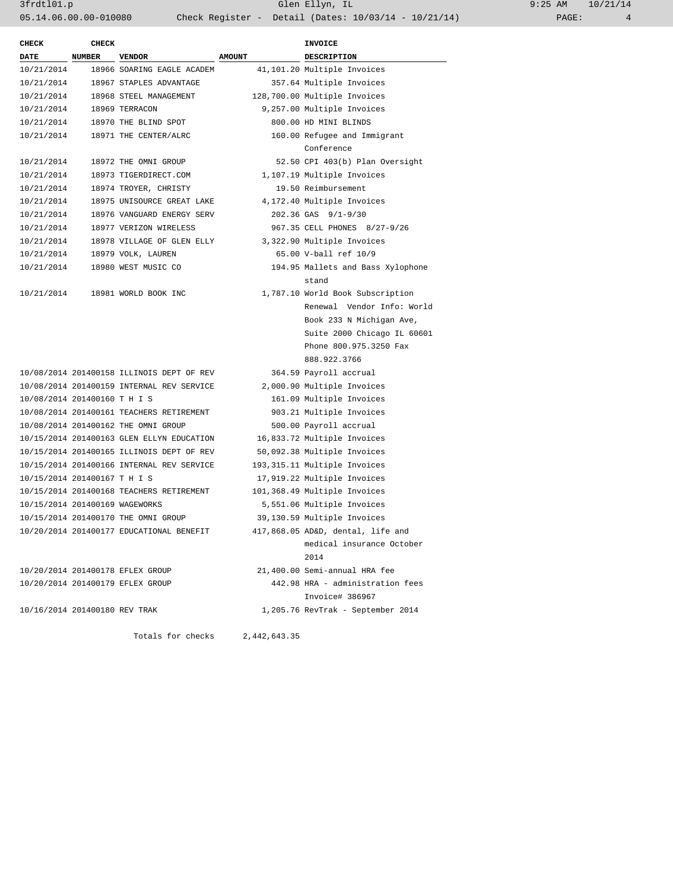| 9:25 AM |       | 10/21/14 |
|---------|-------|----------|
|         | PAGE: |          |

| <b>CHECK</b>                   | <b>CHECK</b>  |                                           |               | <b>INVOICE</b>                    |
|--------------------------------|---------------|-------------------------------------------|---------------|-----------------------------------|
| <b>DATE</b>                    | <b>NUMBER</b> | <b>VENDOR</b>                             | <b>AMOUNT</b> | <b>DESCRIPTION</b>                |
| 10/21/2014                     |               | 18966 SOARING EAGLE ACADEM                |               | 41,101.20 Multiple Invoices       |
| 10/21/2014                     |               | 18967 STAPLES ADVANTAGE                   |               | 357.64 Multiple Invoices          |
|                                |               | 10/21/2014 18968 STEEL MANAGEMENT         |               | 128,700.00 Multiple Invoices      |
| 10/21/2014 18969 TERRACON      |               |                                           |               | 9,257.00 Multiple Invoices        |
|                                |               | 10/21/2014 18970 THE BLIND SPOT           |               | 800.00 HD MINI BLINDS             |
| 10/21/2014                     |               | 18971 THE CENTER/ALRC                     |               | 160.00 Refugee and Immigrant      |
|                                |               |                                           |               | Conference                        |
| 10/21/2014                     |               | 18972 THE OMNI GROUP                      |               | 52.50 CPI 403(b) Plan Oversight   |
| 10/21/2014                     |               | 18973 TIGERDIRECT.COM                     |               | 1,107.19 Multiple Invoices        |
| 10/21/2014                     |               | 18974 TROYER, CHRISTY                     |               | 19.50 Reimbursement               |
| 10/21/2014                     |               | 18975 UNISOURCE GREAT LAKE                |               | 4,172.40 Multiple Invoices        |
| 10/21/2014                     |               | 18976 VANGUARD ENERGY SERV                |               | 202.36 GAS 9/1-9/30               |
| 10/21/2014                     |               | 18977 VERIZON WIRELESS                    |               | 967.35 CELL PHONES 8/27-9/26      |
| 10/21/2014                     |               | 18978 VILLAGE OF GLEN ELLY                |               | 3,322.90 Multiple Invoices        |
|                                |               | 10/21/2014 18979 VOLK, LAUREN             |               | 65.00 V-ball ref 10/9             |
| 10/21/2014                     |               | 18980 WEST MUSIC CO                       |               | 194.95 Mallets and Bass Xylophone |
|                                |               |                                           |               | stand                             |
| 10/21/2014                     |               | 18981 WORLD BOOK INC                      |               | 1,787.10 World Book Subscription  |
|                                |               |                                           |               | Renewal Vendor Info: World        |
|                                |               |                                           |               | Book 233 N Michigan Ave,          |
|                                |               |                                           |               | Suite 2000 Chicago IL 60601       |
|                                |               |                                           |               | Phone 800.975.3250 Fax            |
|                                |               |                                           |               | 888.922.3766                      |
|                                |               | 10/08/2014 201400158 ILLINOIS DEPT OF REV |               | 364.59 Payroll accrual            |
|                                |               | 10/08/2014 201400159 INTERNAL REV SERVICE |               | 2,000.90 Multiple Invoices        |
| 10/08/2014 201400160 T H I S   |               |                                           |               | 161.09 Multiple Invoices          |
|                                |               | 10/08/2014 201400161 TEACHERS RETIREMENT  |               | 903.21 Multiple Invoices          |
|                                |               | 10/08/2014 201400162 THE OMNI GROUP       |               | 500.00 Payroll accrual            |
|                                |               | 10/15/2014 201400163 GLEN ELLYN EDUCATION |               | 16,833.72 Multiple Invoices       |
|                                |               | 10/15/2014 201400165 ILLINOIS DEPT OF REV |               | 50,092.38 Multiple Invoices       |
|                                |               | 10/15/2014 201400166 INTERNAL REV SERVICE |               | 193, 315.11 Multiple Invoices     |
| 10/15/2014 201400167 T H I S   |               |                                           |               | 17,919.22 Multiple Invoices       |
|                                |               | 10/15/2014 201400168 TEACHERS RETIREMENT  |               | 101,368.49 Multiple Invoices      |
| 10/15/2014 201400169 WAGEWORKS |               |                                           |               | 5,551.06 Multiple Invoices        |
|                                |               | 10/15/2014 201400170 THE OMNI GROUP       |               | 39,130.59 Multiple Invoices       |
|                                |               | 10/20/2014 201400177 EDUCATIONAL BENEFIT  |               | 417,868.05 AD&D, dental, life and |
|                                |               |                                           |               | medical insurance October         |
|                                |               |                                           |               | 2014                              |
|                                |               | 10/20/2014 201400178 EFLEX GROUP          |               | 21,400.00 Semi-annual HRA fee     |
|                                |               | 10/20/2014 201400179 EFLEX GROUP          |               | 442.98 HRA - administration fees  |
|                                |               |                                           |               | Invoice# 386967                   |
| 10/16/2014 201400180 REV TRAK  |               |                                           |               | 1,205.76 RevTrak - September 2014 |
|                                |               | Totals for checks                         | 2,442,643.35  |                                   |